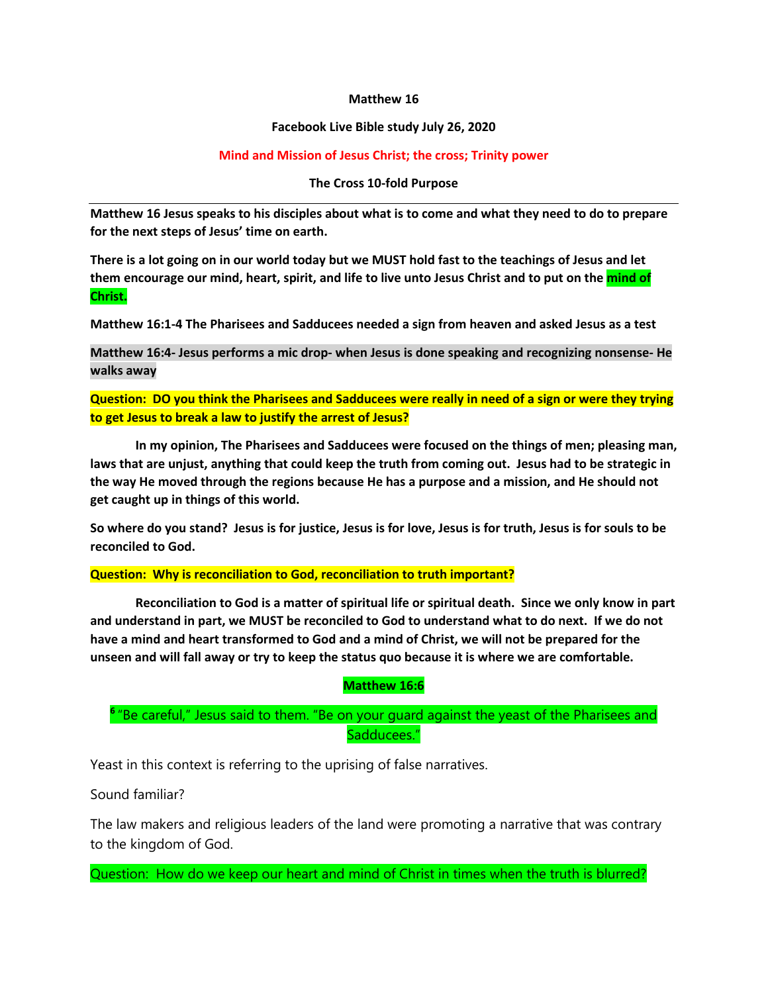#### **Matthew 16**

#### **Facebook Live Bible study July 26, 2020**

#### **Mind and Mission of Jesus Christ; the cross; Trinity power**

#### **The Cross 10-fold Purpose**

**Matthew 16 Jesus speaks to his disciples about what is to come and what they need to do to prepare for the next steps of Jesus' time on earth.**

**There is a lot going on in our world today but we MUST hold fast to the teachings of Jesus and let them encourage our mind, heart, spirit, and life to live unto Jesus Christ and to put on the mind of Christ.**

**Matthew 16:1-4 The Pharisees and Sadducees needed a sign from heaven and asked Jesus as a test**

**Matthew 16:4- Jesus performs a mic drop- when Jesus is done speaking and recognizing nonsense- He walks away**

**Question: DO you think the Pharisees and Sadducees were really in need of a sign or were they trying to get Jesus to break a law to justify the arrest of Jesus?**

**In my opinion, The Pharisees and Sadducees were focused on the things of men; pleasing man, laws that are unjust, anything that could keep the truth from coming out. Jesus had to be strategic in the way He moved through the regions because He has a purpose and a mission, and He should not get caught up in things of this world.** 

**So where do you stand? Jesus is for justice, Jesus is for love, Jesus is for truth, Jesus is for souls to be reconciled to God.**

**Question: Why is reconciliation to God, reconciliation to truth important?**

**Reconciliation to God is a matter of spiritual life or spiritual death. Since we only know in part and understand in part, we MUST be reconciled to God to understand what to do next. If we do not have a mind and heart transformed to God and a mind of Christ, we will not be prepared for the unseen and will fall away or try to keep the status quo because it is where we are comfortable.**

#### **Matthew 16:6**

**<sup>6</sup>** "Be careful," Jesus said to them. "Be on your guard against the yeast of the Pharisees and Sadducees."

Yeast in this context is referring to the uprising of false narratives.

Sound familiar?

The law makers and religious leaders of the land were promoting a narrative that was contrary to the kingdom of God.

Question: How do we keep our heart and mind of Christ in times when the truth is blurred?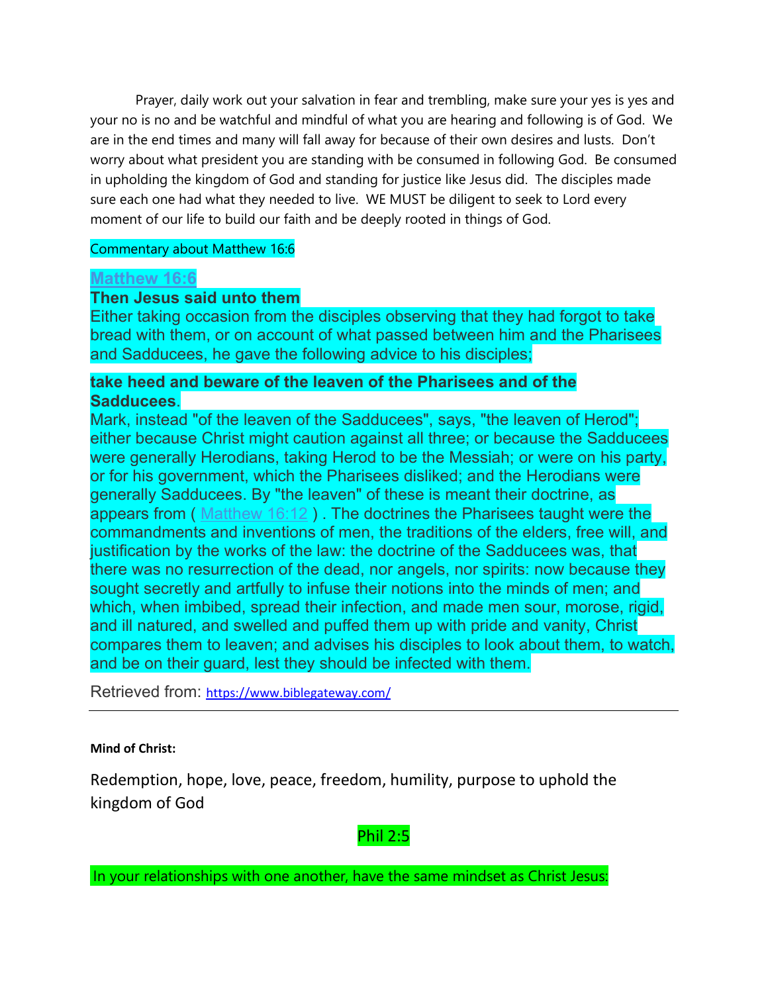Prayer, daily work out your salvation in fear and trembling, make sure your yes is yes and your no is no and be watchful and mindful of what you are hearing and following is of God. We are in the end times and many will fall away for because of their own desires and lusts. Don't worry about what president you are standing with be consumed in following God. Be consumed in upholding the kingdom of God and standing for justice like Jesus did. The disciples made sure each one had what they needed to live. WE MUST be diligent to seek to Lord every moment of our life to build our faith and be deeply rooted in things of God.

#### Commentary about Matthew 16:6

### **[Matthew 16:6](http://www.biblestudytools.com/matthew/16-6.html)**

### **Then Jesus said unto them**

Either taking occasion from the disciples observing that they had forgot to take bread with them, or on account of what passed between him and the Pharisees and Sadducees, he gave the following advice to his disciples;

### **take heed and beware of the leaven of the Pharisees and of the Sadducees**.

Mark, instead "of the leaven of the Sadducees", says, "the leaven of Herod"; either because Christ might caution against all three; or because the Sadducees were generally Herodians, taking Herod to be the Messiah; or were on his party, or for his government, which the Pharisees disliked; and the Herodians were generally Sadducees. By "the leaven" of these is meant their doctrine, as appears from ( [Matthew 16:12](http://www.biblestudytools.com/matthew/16-12.html) ). The doctrines the Pharisees taught were the commandments and inventions of men, the traditions of the elders, free will, and justification by the works of the law: the doctrine of the Sadducees was, that there was no resurrection of the dead, nor angels, nor spirits: now because they sought secretly and artfully to infuse their notions into the minds of men; and which, when imbibed, spread their infection, and made men sour, morose, rigid, and ill natured, and swelled and puffed them up with pride and vanity, Christ compares them to leaven; and advises his disciples to look about them, to watch, and be on their guard, lest they should be infected with them.

Retrieved from: <https://www.biblegateway.com/>

#### **Mind of Christ:**

Redemption, hope, love, peace, freedom, humility, purpose to uphold the kingdom of God

### Phil 2:5

In your relationships with one another, have the same mindset as Christ Jesus: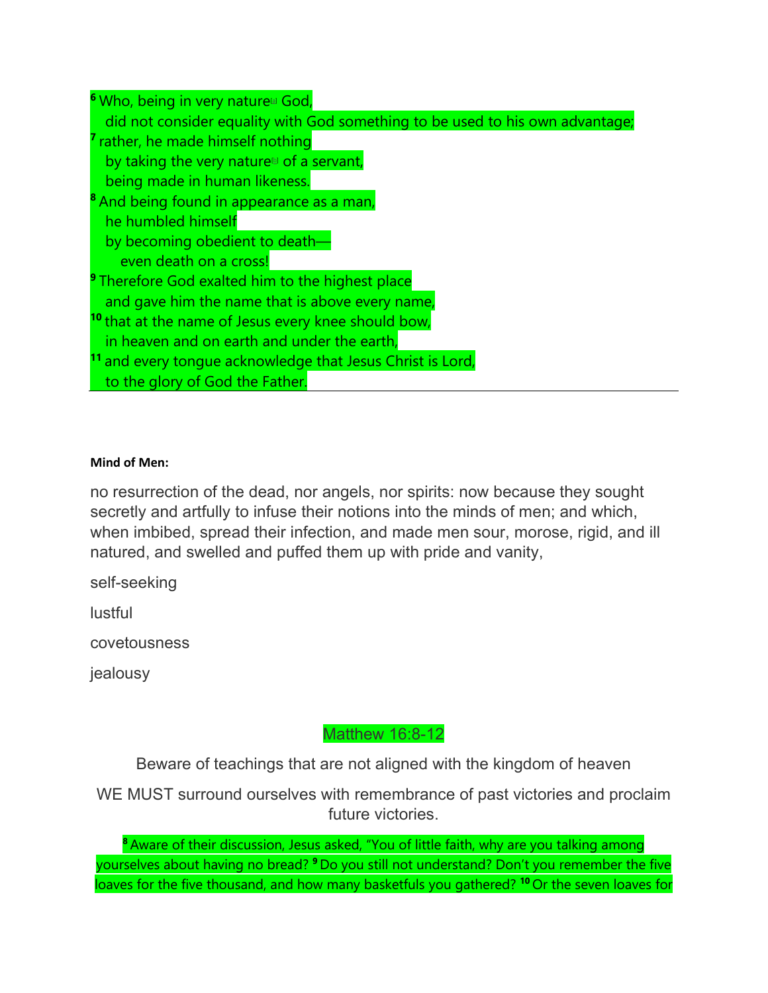**<sup>6</sup>** Who, being in very natur[e\[a\]](https://www.biblegateway.com/passage/?search=Philippians%202%3A5-11&version=NIV#fen-NIV-29398a) God, did not consider equality with God something to be used to his own advantage; **<sup>7</sup>** rather, he made himself nothing by taking the very nature $\mathbb{D}$  of a servant, being made in human likeness. **<sup>8</sup>** And being found in appearance as a man, he humbled himself by becoming obedient to death even death on a cross! **<sup>9</sup>** Therefore God exalted him to the highest place and gave him the name that is above every name, **<sup>10</sup>** that at the name of Jesus every knee should bow, in heaven and on earth and under the earth, **<sup>11</sup>** and every tongue acknowledge that Jesus Christ is Lord, to the glory of God the Father.

#### **Mind of Men:**

no resurrection of the dead, nor angels, nor spirits: now because they sought secretly and artfully to infuse their notions into the minds of men; and which, when imbibed, spread their infection, and made men sour, morose, rigid, and ill natured, and swelled and puffed them up with pride and vanity,

self-seeking

lustful

covetousness

jealousy

### Matthew 16:8-12

Beware of teachings that are not aligned with the kingdom of heaven

WE MUST surround ourselves with remembrance of past victories and proclaim future victories.

**<sup>8</sup>** Aware of their discussion, Jesus asked, "You of little faith, why are you talking among yourselves about having no bread? **<sup>9</sup>** Do you still not understand? Don't you remember the five loaves for the five thousand, and how many basketfuls you gathered? **<sup>10</sup>** Or the seven loaves for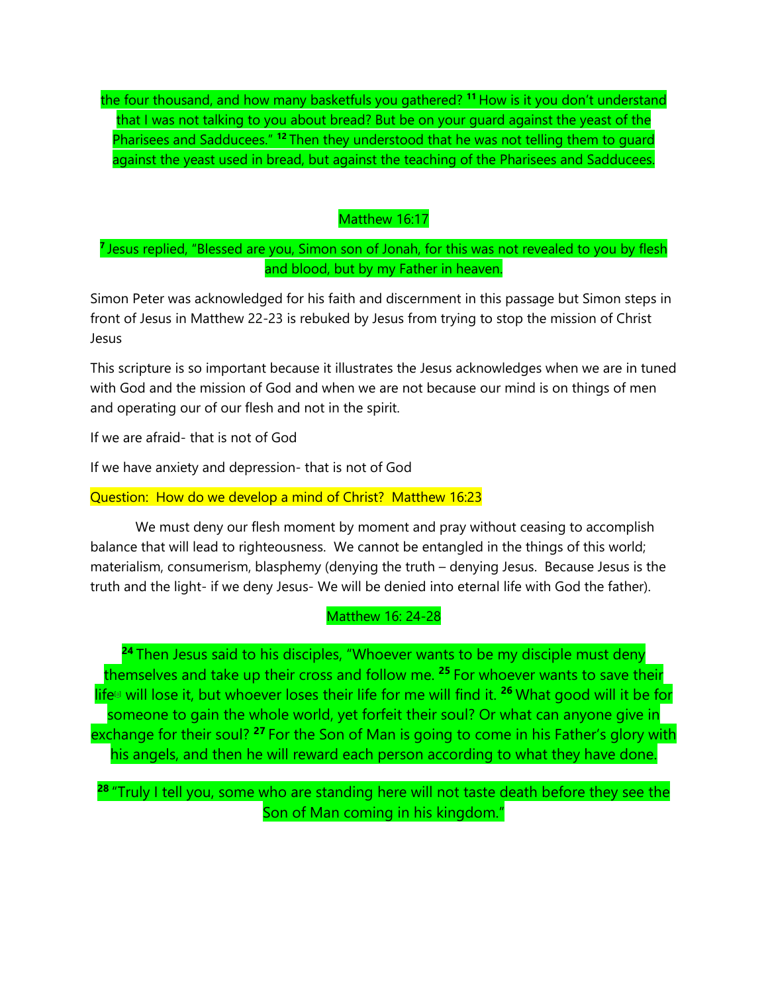the four thousand, and how many basketfuls you gathered? **<sup>11</sup>** How is it you don't understand that I was not talking to you about bread? But be on your guard against the yeast of the Pharisees and Sadducees." **<sup>12</sup>** Then they understood that he was not telling them to guard against the yeast used in bread, but against the teaching of the Pharisees and Sadducees.

#### Matthew 16:17

### **<sup>7</sup>** Jesus replied, "Blessed are you, Simon son of Jonah, for this was not revealed to you by flesh and blood, but by my Father in heaven.

Simon Peter was acknowledged for his faith and discernment in this passage but Simon steps in front of Jesus in Matthew 22-23 is rebuked by Jesus from trying to stop the mission of Christ Jesus

This scripture is so important because it illustrates the Jesus acknowledges when we are in tuned with God and the mission of God and when we are not because our mind is on things of men and operating our of our flesh and not in the spirit.

If we are afraid- that is not of God

If we have anxiety and depression- that is not of God

#### Question: How do we develop a mind of Christ? Matthew 16:23

We must deny our flesh moment by moment and pray without ceasing to accomplish balance that will lead to righteousness. We cannot be entangled in the things of this world; materialism, consumerism, blasphemy (denying the truth – denying Jesus. Because Jesus is the truth and the light- if we deny Jesus- We will be denied into eternal life with God the father).

#### Matthew 16: 24-28

**<sup>24</sup>** Then Jesus said to his disciples, "Whoever wants to be my disciple must deny themselves and take up their cross and follow me. **<sup>25</sup>** For whoever wants to save their life<sup>[a]</sup> will lose it, but whoever loses their life for me will find it. <sup>26</sup> What good will it be for someone to gain the whole world, yet forfeit their soul? Or what can anyone give in exchange for their soul? **<sup>27</sup>** For the Son of Man is going to come in his Father's glory with his angels, and then he will reward each person according to what they have done.

**<sup>28</sup>** "Truly I tell you, some who are standing here will not taste death before they see the Son of Man coming in his kingdom."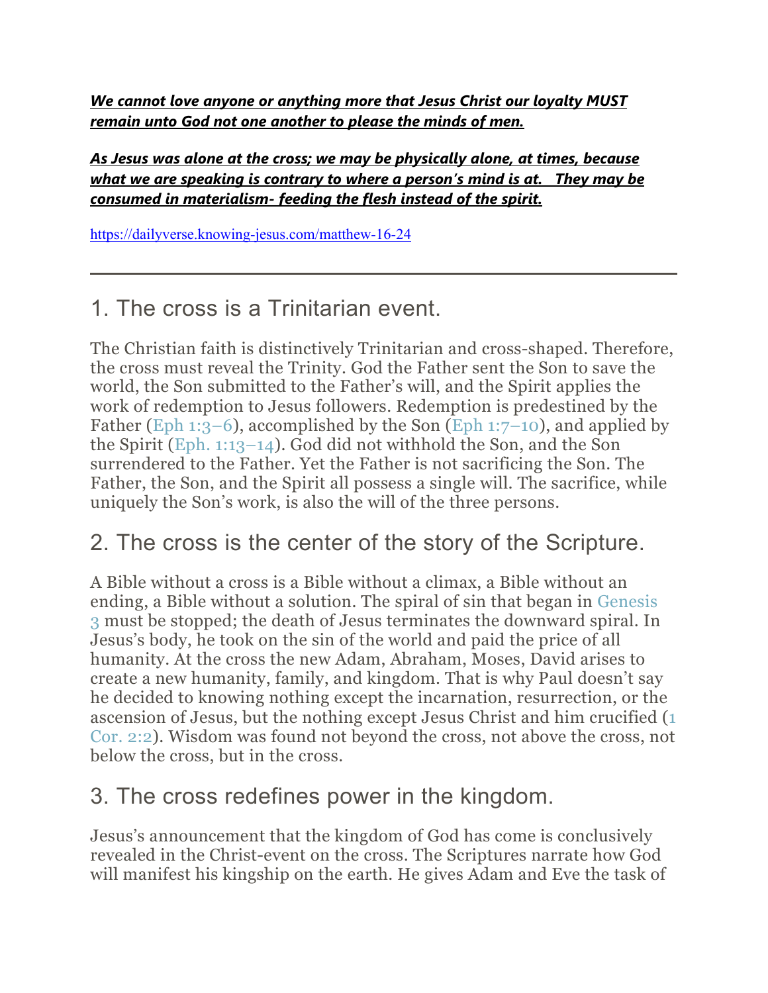*We cannot love anyone or anything more that Jesus Christ our loyalty MUST remain unto God not one another to please the minds of men.* 

*As Jesus was alone at the cross; we may be physically alone, at times, because what we are speaking is contrary to where a person's mind is at. They may be consumed in materialism- feeding the flesh instead of the spirit.* 

<https://dailyverse.knowing-jesus.com/matthew-16-24>

## 1. The cross is a Trinitarian event.

The Christian faith is distinctively Trinitarian and cross-shaped. Therefore, the cross must reveal the Trinity. God the Father sent the Son to save the world, the Son submitted to the Father's will, and the Spirit applies the work of redemption to Jesus followers. Redemption is predestined by the Father [\(Eph 1:3–6\)](https://www.esv.org/Eph%201%3A3%E2%80%936/), accomplished by the Son [\(Eph 1:7–10\)](https://www.esv.org/Eph%201%3A7%E2%80%9310/), and applied by the Spirit [\(Eph. 1:13–14\)](https://www.esv.org/Eph.%201%3A13%E2%80%9314/). God did not withhold the Son, and the Son surrendered to the Father. Yet the Father is not sacrificing the Son. The Father, the Son, and the Spirit all possess a single will. The sacrifice, while uniquely the Son's work, is also the will of the three persons.

## 2. The cross is the center of the story of the Scripture.

A Bible without a cross is a Bible without a climax, a Bible without an ending, a Bible without a solution. The spiral of sin that began in [Genesis](https://www.esv.org/Genesis%203/)  [3](https://www.esv.org/Genesis%203/) must be stopped; the death of Jesus terminates the downward spiral. In Jesus's body, he took on the sin of the world and paid the price of all humanity. At the cross the new Adam, Abraham, Moses, David arises to create a new humanity, family, and kingdom. That is why Paul doesn't say he decided to knowing nothing except the incarnation, resurrection, or the ascension of Jesus, but the nothing except Jesus Christ and him crucified [\(1](https://www.esv.org/1%20Cor.%202%3A2/)  [Cor. 2:2\)](https://www.esv.org/1%20Cor.%202%3A2/). Wisdom was found not beyond the cross, not above the cross, not below the cross, but in the cross.

### 3. The cross redefines power in the kingdom.

Jesus's announcement that the kingdom of God has come is conclusively revealed in the Christ-event on the cross. The Scriptures narrate how God will manifest his kingship on the earth. He gives Adam and Eve the task of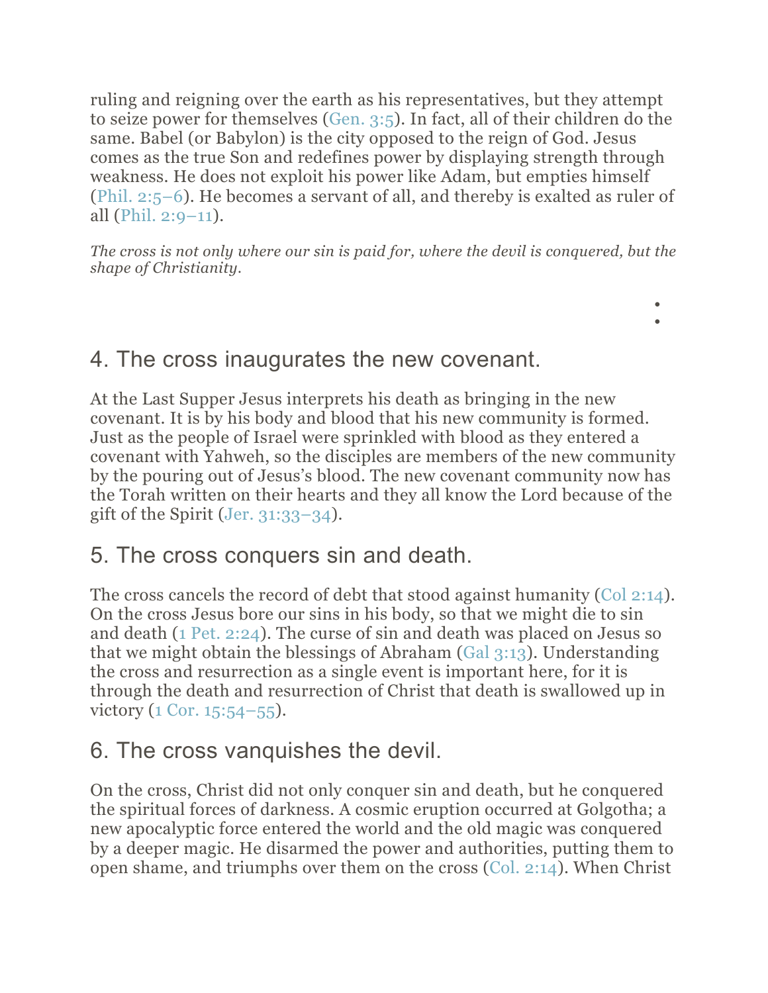ruling and reigning over the earth as his representatives, but they attempt to seize power for themselves [\(Gen. 3:5\)](https://www.esv.org/Gen.%203%3A5/). In fact, all of their children do the same. Babel (or Babylon) is the city opposed to the reign of God. Jesus comes as the true Son and redefines power by displaying strength through weakness. He does not exploit his power like Adam, but empties himself [\(Phil. 2:5–6\)](https://www.esv.org/Phil.%202%3A5%E2%80%936/). He becomes a servant of all, and thereby is exalted as ruler of all (Phil.  $2:9-11$ ).

*The cross is not only where our sin is paid for, where the devil is conquered, but the shape of Christianity.*

> • •

4. The cross inaugurates the new covenant.

At the Last Supper Jesus interprets his death as bringing in the new covenant. It is by his body and blood that his new community is formed. Just as the people of Israel were sprinkled with blood as they entered a covenant with Yahweh, so the disciples are members of the new community by the pouring out of Jesus's blood. The new covenant community now has the Torah written on their hearts and they all know the Lord because of the gift of the Spirit (Jer.  $31:33-34$ ).

## 5. The cross conquers sin and death.

The cross cancels the record of debt that stood against humanity [\(Col 2:14\)](https://www.esv.org/Col%202%3A14/). On the cross Jesus bore our sins in his body, so that we might die to sin and death [\(1 Pet. 2:24\)](https://www.esv.org/1%20Pet.%202%3A24/). The curse of sin and death was placed on Jesus so that we might obtain the blessings of Abraham [\(Gal 3:13\)](https://www.esv.org/Gal%203%3A13/). Understanding the cross and resurrection as a single event is important here, for it is through the death and resurrection of Christ that death is swallowed up in victory [\(1 Cor. 15:54–55\)](https://www.esv.org/1%20Cor.%2015%3A54%E2%80%9355/).

## 6. The cross vanquishes the devil.

On the cross, Christ did not only conquer sin and death, but he conquered the spiritual forces of darkness. A cosmic eruption occurred at Golgotha; a new apocalyptic force entered the world and the old magic was conquered by a deeper magic. He disarmed the power and authorities, putting them to open shame, and triumphs over them on the cross [\(Col. 2:14\)](https://www.esv.org/Col.%202%3A14/). When Christ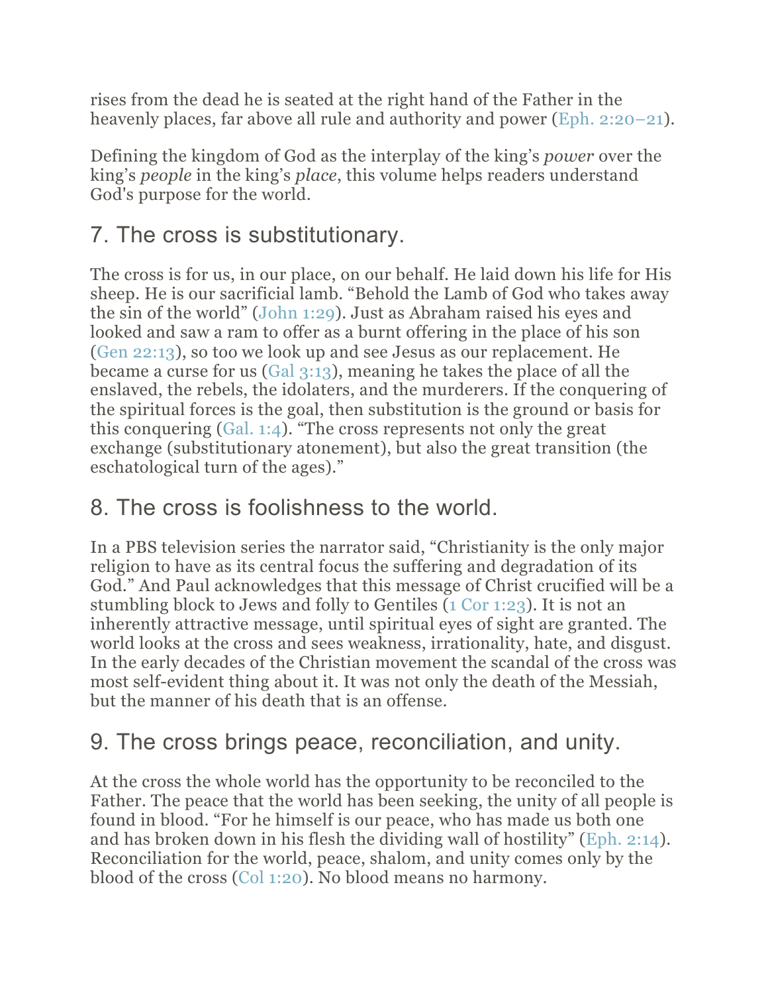rises from the dead he is seated at the right hand of the Father in the heavenly places, far above all rule and authority and power [\(Eph. 2:20–21\)](https://www.esv.org/Eph.%202%3A20%E2%80%9321/).

Defining the kingdom of God as the interplay of the king's *power* over the king's *people* in the king's *place*, this volume helps readers understand God's purpose for the world.

## 7. The cross is substitutionary.

The cross is for us, in our place, on our behalf. He laid down his life for His sheep. He is our sacrificial lamb. "Behold the Lamb of God who takes away the sin of the world" [\(John 1:29\)](https://www.esv.org/John%201%3A29/). Just as Abraham raised his eyes and looked and saw a ram to offer as a burnt offering in the place of his son [\(Gen 22:13\)](https://www.esv.org/Gen%2022%3A13/), so too we look up and see Jesus as our replacement. He became a curse for us [\(Gal 3:13\)](https://www.esv.org/Gal%203%3A13/), meaning he takes the place of all the enslaved, the rebels, the idolaters, and the murderers. If the conquering of the spiritual forces is the goal, then substitution is the ground or basis for this conquering [\(Gal. 1:4\)](https://www.esv.org/Gal.%201%3A4/). "The cross represents not only the great exchange (substitutionary atonement), but also the great transition (the eschatological turn of the ages)."

## 8. The cross is foolishness to the world.

In a PBS television series the narrator said, "Christianity is the only major religion to have as its central focus the suffering and degradation of its God." And Paul acknowledges that this message of Christ crucified will be a stumbling block to Jews and folly to Gentiles [\(1 Cor 1:23\)](https://www.esv.org/1%20Cor%201%3A23/). It is not an inherently attractive message, until spiritual eyes of sight are granted. The world looks at the cross and sees weakness, irrationality, hate, and disgust. In the early decades of the Christian movement the scandal of the cross was most self-evident thing about it. It was not only the death of the Messiah, but the manner of his death that is an offense.

## 9. The cross brings peace, reconciliation, and unity.

At the cross the whole world has the opportunity to be reconciled to the Father. The peace that the world has been seeking, the unity of all people is found in blood. "For he himself is our peace, who has made us both one and has broken down in his flesh the dividing wall of hostility" [\(Eph. 2:14\)](https://www.esv.org/Eph.%202%3A14/). Reconciliation for the world, peace, shalom, and unity comes only by the blood of the cross [\(Col 1:20\)](https://www.esv.org/Col%201%3A20/). No blood means no harmony.